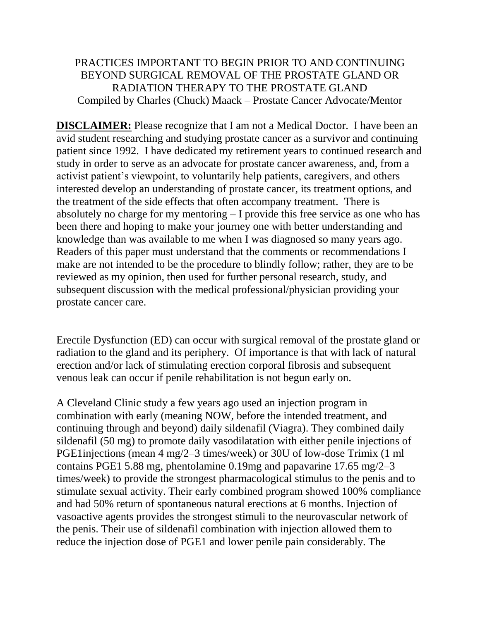## PRACTICES IMPORTANT TO BEGIN PRIOR TO AND CONTINUING BEYOND SURGICAL REMOVAL OF THE PROSTATE GLAND OR RADIATION THERAPY TO THE PROSTATE GLAND Compiled by Charles (Chuck) Maack – Prostate Cancer Advocate/Mentor

**DISCLAIMER:** Please recognize that I am not a Medical Doctor. I have been an avid student researching and studying prostate cancer as a survivor and continuing patient since 1992. I have dedicated my retirement years to continued research and study in order to serve as an advocate for prostate cancer awareness, and, from a activist patient's viewpoint, to voluntarily help patients, caregivers, and others interested develop an understanding of prostate cancer, its treatment options, and the treatment of the side effects that often accompany treatment. There is absolutely no charge for my mentoring – I provide this free service as one who has been there and hoping to make your journey one with better understanding and knowledge than was available to me when I was diagnosed so many years ago. Readers of this paper must understand that the comments or recommendations I make are not intended to be the procedure to blindly follow; rather, they are to be reviewed as my opinion, then used for further personal research, study, and subsequent discussion with the medical professional/physician providing your prostate cancer care.

Erectile Dysfunction (ED) can occur with surgical removal of the prostate gland or radiation to the gland and its periphery. Of importance is that with lack of natural erection and/or lack of stimulating erection corporal fibrosis and subsequent venous leak can occur if penile rehabilitation is not begun early on.

A Cleveland Clinic study a few years ago used an injection program in combination with early (meaning NOW, before the intended treatment, and continuing through and beyond) daily sildenafil (Viagra). They combined daily sildenafil (50 mg) to promote daily vasodilatation with either penile injections of PGE1injections (mean 4 mg/2–3 times/week) or 30U of low-dose Trimix (1 ml contains PGE1 5.88 mg, phentolamine 0.19mg and papavarine 17.65 mg/2–3 times/week) to provide the strongest pharmacological stimulus to the penis and to stimulate sexual activity. Their early combined program showed 100% compliance and had 50% return of spontaneous natural erections at 6 months. Injection of vasoactive agents provides the strongest stimuli to the neurovascular network of the penis. Their use of sildenafil combination with injection allowed them to reduce the injection dose of PGE1 and lower penile pain considerably. The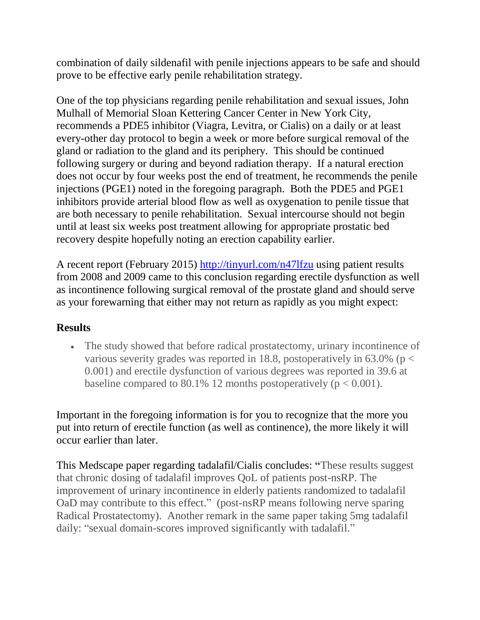combination of daily sildenafil with penile injections appears to be safe and should prove to be effective early penile rehabilitation strategy.

One of the top physicians regarding penile rehabilitation and sexual issues, John Mulhall of Memorial Sloan Kettering Cancer Center in New York City, recommends a PDE5 inhibitor (Viagra, Levitra, or Cialis) on a daily or at least every-other day protocol to begin a week or more before surgical removal of the gland or radiation to the gland and its periphery. This should be continued following surgery or during and beyond radiation therapy. If a natural erection does not occur by four weeks post the end of treatment, he recommends the penile injections (PGE1) noted in the foregoing paragraph. Both the PDE5 and PGE1 inhibitors provide arterial blood flow as well as oxygenation to penile tissue that are both necessary to penile rehabilitation. Sexual intercourse should not begin until at least six weeks post treatment allowing for appropriate prostatic bed recovery despite hopefully noting an erection capability earlier.

A recent report (February 2015)<http://tinyurl.com/n47lfzu> using patient results from 2008 and 2009 came to this conclusion regarding erectile dysfunction as well as incontinence following surgical removal of the prostate gland and should serve as your forewarning that either may not return as rapidly as you might expect:

## **Results**

 The study showed that before radical prostatectomy, urinary incontinence of various severity grades was reported in 18.8, postoperatively in  $63.0\%$  (p < 0.001) and erectile dysfunction of various degrees was reported in 39.6 at baseline compared to 80.1% 12 months postoperatively ( $p < 0.001$ ).

Important in the foregoing information is for you to recognize that the more you put into return of erectile function (as well as continence), the more likely it will occur earlier than later.

This Medscape paper regarding tadalafil/Cialis concludes: **"**These results suggest that chronic dosing of tadalafil improves QoL of patients post-nsRP. The improvement of urinary incontinence in elderly patients randomized to tadalafil OaD may contribute to this effect." (post-nsRP means following nerve sparing Radical Prostatectomy). Another remark in the same paper taking 5mg tadalafil daily: "sexual domain-scores improved significantly with tadalafil."